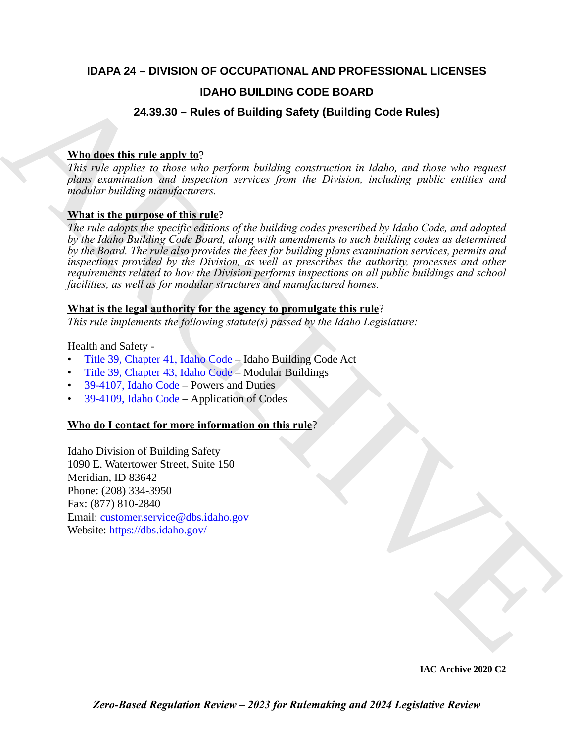### **IDAPA 24 – DIVISION OF OCCUPATIONAL AND PROFESSIONAL LICENSES**

#### **IDAHO BUILDING CODE BOARD**

#### **24.39.30 – Rules of Building Safety (Building Code Rules)**

#### **Who does this rule apply to**?

*This rule applies to those who perform building construction in Idaho, and those who request plans examination and inspection services from the Division, including public entities and modular building manufacturers.*

#### **What is the purpose of this rule**?

**EXAMPLE [C](https://legislature.idaho.gov/statutesrules/idstat/Title39/T39CH43/)ONTRACT CONFID[E](https://dbs.idaho.gov/)NT CODE BOARD**<br>
24.39.30 - Rules of Building Safety (Building Code Rules)<br>
This risk applies to these who parform building construction in kladet, and these who request<br>
plane statements and inspe *The rule adopts the specific editions of the building codes prescribed by Idaho Code, and adopted by the Idaho Building Code Board, along with amendments to such building codes as determined by the Board. The rule also provides the fees for building plans examination services, permits and inspections provided by the Division, as well as prescribes the authority, processes and other requirements related to how the Division performs inspections on all public buildings and school facilities, as well as for modular structures and manufactured homes.*

#### **What is the legal authority for the agency to promulgate this rule**?

*This rule implements the following statute(s) passed by the Idaho Legislature:*

Health and Safety -

- Title 39, Chapter 41, Idaho Code Idaho Building Code Act
- Title 39, Chapter 43, Idaho Code Modular Buildings
- 39-4107, Idaho Code Powers and Duties
- 39-4109, Idaho Code Application of Codes

#### **Who do I contact for more information on this rule**?

Idaho Division of Building Safety 1090 E. Watertower Street, Suite 150 Meridian, ID 83642 Phone: (208) 334-3950 Fax: (877) 810-2840 Email: customer.service@dbs.idaho.gov Website: https://dbs.idaho.gov/

**IAC Archive 2020 C2**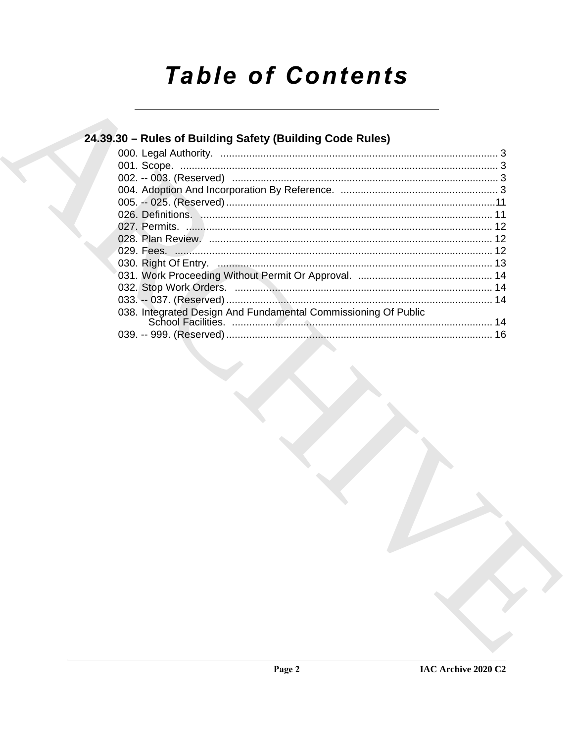# **Table of Contents**

| 24.39.30 – Rules of Building Safety (Building Code Rules)      |  |
|----------------------------------------------------------------|--|
|                                                                |  |
|                                                                |  |
|                                                                |  |
|                                                                |  |
|                                                                |  |
|                                                                |  |
|                                                                |  |
|                                                                |  |
|                                                                |  |
|                                                                |  |
|                                                                |  |
|                                                                |  |
|                                                                |  |
| 038. Integrated Design And Fundamental Commissioning Of Public |  |
|                                                                |  |
|                                                                |  |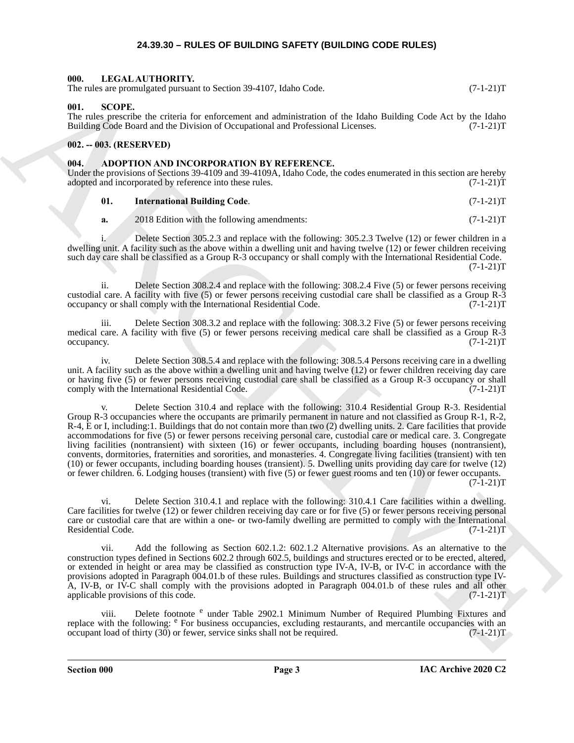#### **24.39.30 – RULES OF BUILDING SAFETY (BUILDING CODE RULES)**

### <span id="page-2-6"></span><span id="page-2-1"></span><span id="page-2-0"></span>**000. LEGAL AUTHORITY.**

The rules are promulgated pursuant to Section 39-4107, Idaho Code. (7-1-21)T

#### <span id="page-2-7"></span><span id="page-2-2"></span>**001. SCOPE.**

The rules prescribe the criteria for enforcement and administration of the Idaho Building Code Act by the Idaho Building Code Board and the Division of Occupational and Professional Licenses. (7-1-21)T Building Code Board and the Division of Occupational and Professional Licenses.

#### <span id="page-2-3"></span>**002. -- 003. (RESERVED)**

#### <span id="page-2-5"></span><span id="page-2-4"></span>**004. ADOPTION AND INCORPORATION BY REFERENCE.**

Under the provisions of Sections 39-4109 and 39-4109A, Idaho Code, the codes enumerated in this section are hereby adopted and incorporated by reference into these rules. (7-1-21) adopted and incorporated by reference into these rules.

#### **01. International Building Code**. (7-1-21)T

**a.** 2018 Edition with the following amendments: (7-1-21)T

i. Delete Section 305.2.3 and replace with the following: 305.2.3 Twelve (12) or fewer children in a dwelling unit. A facility such as the above within a dwelling unit and having twelve (12) or fewer children receiving such day care shall be classified as a Group R-3 occupancy or shall comply with the International Residential Code.  $(7-1-21)T$ 

ii. Delete Section 308.2.4 and replace with the following: 308.2.4 Five (5) or fewer persons receiving custodial care. A facility with five (5) or fewer persons receiving custodial care shall be classified as a Group R-3 occupancy or shall comply with the International Residential Code.

iii. Delete Section 308.3.2 and replace with the following: 308.3.2 Five (5) or fewer persons receiving medical care. A facility with five (5) or fewer persons receiving medical care shall be classified as a Group R-3  $\alpha$  occupancy.  $(7-1-21)$ T

iv. Delete Section 308.5.4 and replace with the following: 308.5.4 Persons receiving care in a dwelling unit. A facility such as the above within a dwelling unit and having twelve (12) or fewer children receiving day care or having five (5) or fewer persons receiving custodial care shall be classified as a Group R-3 occupancy or shall comply with the International Residential Code. (7-1-21)T

The strength constraints of Society 29-1107, holes Code<br>
BH, second the strength constraints and the strength constraints of the Made Delaids Code Art by the Hampshrontene<br>
Hampshrontene and the strength constraints are t Delete Section 310.4 and replace with the following: 310.4 Residential Group R-3. Residential Group R-3 occupancies where the occupants are primarily permanent in nature and not classified as Group R-1, R-2, R-4, E or I, including:1. Buildings that do not contain more than two (2) dwelling units. 2. Care facilities that provide accommodations for five (5) or fewer persons receiving personal care, custodial care or medical care. 3. Congregate living facilities (nontransient) with sixteen (16) or fewer occupants, including boarding houses (nontransient), convents, dormitories, fraternities and sororities, and monasteries. 4. Congregate living facilities (transient) with ten (10) or fewer occupants, including boarding houses (transient). 5. Dwelling units providing day care for twelve (12) or fewer children. 6. Lodging houses (transient) with five (5) or fewer guest rooms and ten (10) or fewer occupants.  $(7-1-21)T$ 

vi. Delete Section 310.4.1 and replace with the following: 310.4.1 Care facilities within a dwelling. Care facilities for twelve (12) or fewer children receiving day care or for five (5) or fewer persons receiving personal care or custodial care that are within a one- or two-family dwelling are permitted to comply with the International Residential Code. (7-1-21)T

vii. Add the following as Section 602.1.2: 602.1.2 Alternative provisions. As an alternative to the construction types defined in Sections 602.2 through 602.5, buildings and structures erected or to be erected, altered, or extended in height or area may be classified as construction type IV-A, IV-B, or IV-C in accordance with the provisions adopted in Paragraph 004.01.b of these rules. Buildings and structures classified as construction type IV-A, IV-B, or IV-C shall comply with the provisions adopted in Paragraph 004.01.b of these rules and all other applicable provisions of this code.  $(7-1-21)$ T applicable provisions of this code.

viii. Delete footnote <sup>e</sup> under Table 2902.1 Minimum Number of Required Plumbing Fixtures and replace with the following: <sup>e</sup> For business occupancies, excluding restaurants, and mercantile occupancies with an occupant load of thirty  $(30)$  or fewer, service sinks shall not be required.  $(7-1-21)$ T

**Section 000 Page 3**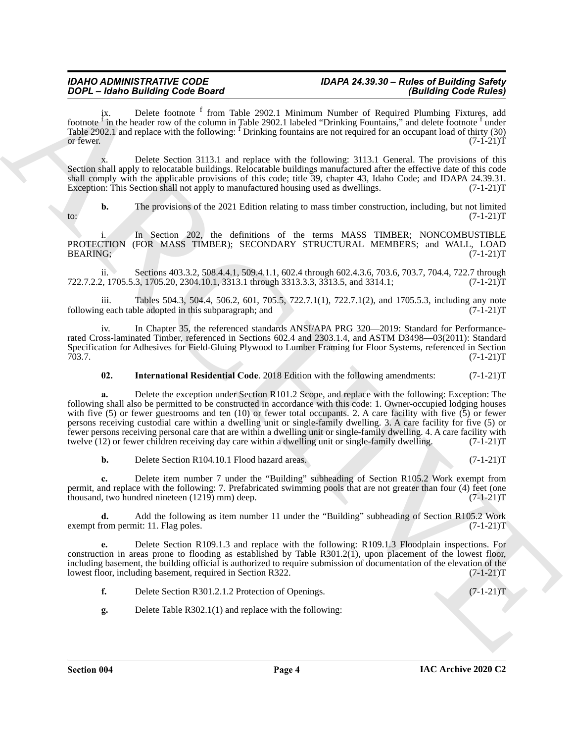#### *IDAHO ADMINISTRATIVE CODE IDAPA 24.39.30 – Rules of Building Safety DOPL – Idaho Building Code Board (Building Code Rules)*

ix. Delete footnote <sup>f</sup> from Table 2902.1 Minimum Number of Required Plumbing Fixtures, add footnote  $\hat{f}$  in the header row of the column in Table 2902.1 labeled "Drinking Fountains," and delete footnote  $\hat{f}$  under Table 2902.1 and replace with the following: <sup>f</sup> Drinking fountains are not required for an occupant load of thirty (30) or fewer.  $(7-1-21)T$ 

x. Delete Section 3113.1 and replace with the following: 3113.1 General. The provisions of this Section shall apply to relocatable buildings. Relocatable buildings manufactured after the effective date of this code shall comply with the applicable provisions of this code; title 39, chapter 43, Idaho Code; and IDAPA 24.39.31. Exception: This Section shall not apply to manufactured housing used as dwellings. (7-1-21) T

**b.** The provisions of the 2021 Edition relating to mass timber construction, including, but not limited (7-1-21)T  $t_0$ : (7-1-21)T

i. In Section 202, the definitions of the terms MASS TIMBER; NONCOMBUSTIBLE PROTECTION (FOR MASS TIMBER); SECONDARY STRUCTURAL MEMBERS; and WALL, LOAD BEARING; (7-1-21)T BEARING; (7-1-21)T

ii. Sections 403.3.2, 508.4.4.1, 509.4.1.1, 602.4 through 602.4.3.6, 703.6, 703.7, 704.4, 722.7 through 722.7.2.2, 1705.5.3, 1705.20, 2304.10.1, 3313.1 through 3313.3.3, 3313.5, and 3314.1; (7-1-21)T

iii. Tables 504.3, 504.4, 506.2, 601, 705.5, 722.7.1(1), 722.7.1(2), and 1705.5.3, including any note g each table adopted in this subparagraph; and  $(7-1-21)T$ following each table adopted in this subparagraph; and

iv. In Chapter 35, the referenced standards ANSI/APA PRG 320—2019: Standard for Performancerated Cross-laminated Timber, referenced in Sections 602.4 and 2303.1.4, and ASTM D3498—03(2011): Standard Specification for Adhesives for Field-Gluing Plywood to Lumber Framing for Floor Systems, referenced in Section 703.7. (7-1-21)T 703.7. (7-1-21)T

**02.** International Residential Code. 2018 Edition with the following amendments:  $(7-1-21)T$ 

**2004. Case of Balling Sole 60 and** 2004. But in the state of Balling Code Balling and the state of Balling Rounds Particular State of Balling Rounds Particular State of Balling Rounds Particular State of Balling Rounds **a.** Delete the exception under Section R101.2 Scope, and replace with the following: Exception: The following shall also be permitted to be constructed in accordance with this code: 1. Owner-occupied lodging houses with five (5) or fewer guestrooms and ten (10) or fewer total occupants. 2. A care facility with five (5) or fewer persons receiving custodial care within a dwelling unit or single-family dwelling. 3. A care facility for five (5) or fewer persons receiving personal care that are within a dwelling unit or single-family dwelling. 4. A care facility with twelve (12) or fewer children receiving day care within a dwelling unit or single-family dwelling. (7 twelve (12) or fewer children receiving day care within a dwelling unit or single-family dwelling.

**b.** Delete Section R104.10.1 Flood hazard areas. (7-1-21)T

**c.** Delete item number 7 under the "Building" subheading of Section R105.2 Work exempt from permit, and replace with the following: 7. Prefabricated swimming pools that are not greater than four (4) feet (one thousand, two hundred nineteen (1219) mm) deep. (7-1-21)T

**d.** Add the following as item number 11 under the "Building" subheading of Section R105.2 Work (7-1-21)T exempt from permit: 11. Flag poles.

**e.** Delete Section R109.1.3 and replace with the following: R109.1.3 Floodplain inspections. For construction in areas prone to flooding as established by Table R301.2(1), upon placement of the lowest floor, including basement, the building official is authorized to require submission of documentation of the elevation of the lowest floor, including basement, required in Section R322. (7-1-21) lowest floor, including basement, required in Section R322.

**f.** Delete Section R301.2.1.2 Protection of Openings. (7-1-21)T

**g.** Delete Table R302.1(1) and replace with the following: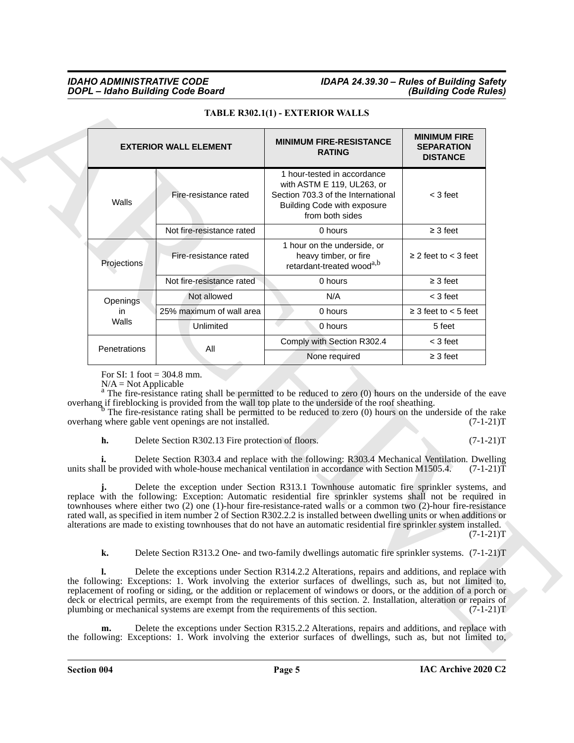| <b>MINIMUM FIRE</b><br><b>MINIMUM FIRE-RESISTANCE</b><br><b>EXTERIOR WALL ELEMENT</b><br><b>SEPARATION</b><br><b>RATING</b><br><b>DISTANCE</b><br>1 hour-tested in accordance<br>with ASTM E 119, UL263, or<br>Fire-resistance rated<br>Section 703.3 of the International<br>$<$ 3 feet<br>Walls<br><b>Building Code with exposure</b><br>from both sides<br>Not fire-resistance rated<br>0 hours<br>$\geq$ 3 feet<br>1 hour on the underside, or<br>heavy timber, or fire<br>$\geq$ 2 feet to < 3 feet<br>Fire-resistance rated<br>Projections<br>retardant-treated wood <sup>a,b</sup><br>Not fire-resistance rated<br>$\geq$ 3 feet<br>0 hours<br>Not allowed<br>N/A<br>$<$ 3 feet<br><b>Openings</b><br>$\geq$ 3 feet to $<$ 5 feet<br>25% maximum of wall area<br>0 hours<br>in.<br>Walls<br>Unlimited<br>0 hours<br>5 feet<br>Comply with Section R302.4<br>$<$ 3 feet<br>All<br>Penetrations<br>None required<br>$\geq$ 3 feet<br>For SI: 1 foot = $304.8$ mm.<br>$N/A = Not Applicable$<br>$^{\rm a}$ The fire-resistance rating shall be permitted to be reduced to zero (0) hours on the underside of the eave<br>overhang if fireblocking is provided from the wall top plate to the underside of the roof sheathing.<br>$b$ The fire-resistance rating shall be permitted to be reduced to zero (0) hours on the underside of the rake<br>overhang where gable vent openings are not installed.<br>$(7-1-21)T$<br>h.<br>Delete Section R302.13 Fire protection of floors.<br>$(7-1-21)T$<br>Delete Section R303.4 and replace with the following: R303.4 Mechanical Ventilation. Dwelling<br>units shall be provided with whole-house mechanical ventilation in accordance with Section M1505.4.<br>$(7-1-21)T$<br>Delete the exception under Section R313.1 Townhouse automatic fire sprinkler systems, and<br>replace with the following: Exception: Automatic residential fire sprinkler systems shall not be required in<br>townhouses where either two $(2)$ one $(1)$ -hour fire-resistance-rated walls or a common two $(2)$ -hour fire-resistance<br>rated wall, as specified in item number 2 of Section R302.2.2 is installed between dwelling units or when additions or<br>alterations are made to existing townhouses that do not have an automatic residential fire sprinkler system installed.<br>$(7-1-21)T$<br>k.<br>Delete Section R313.2 One- and two-family dwellings automatic fire sprinkler systems. (7-1-21)T<br>Delete the exceptions under Section R314.2.2 Alterations, repairs and additions, and replace with<br>the following: Exceptions: 1. Work involving the exterior surfaces of dwellings, such as, but not limited to,<br>replacement of roofing or siding, or the addition or replacement of windows or doors, or the addition of a porch or<br>deck or electrical permits, are exempt from the requirements of this section. 2. Installation, alteration or repairs of<br>plumbing or mechanical systems are exempt from the requirements of this section.<br>$(7-1-21)T$ | TABLE R302.1(1) - EXTERIOR WALLS |  |
|-------------------------------------------------------------------------------------------------------------------------------------------------------------------------------------------------------------------------------------------------------------------------------------------------------------------------------------------------------------------------------------------------------------------------------------------------------------------------------------------------------------------------------------------------------------------------------------------------------------------------------------------------------------------------------------------------------------------------------------------------------------------------------------------------------------------------------------------------------------------------------------------------------------------------------------------------------------------------------------------------------------------------------------------------------------------------------------------------------------------------------------------------------------------------------------------------------------------------------------------------------------------------------------------------------------------------------------------------------------------------------------------------------------------------------------------------------------------------------------------------------------------------------------------------------------------------------------------------------------------------------------------------------------------------------------------------------------------------------------------------------------------------------------------------------------------------------------------------------------------------------------------------------------------------------------------------------------------------------------------------------------------------------------------------------------------------------------------------------------------------------------------------------------------------------------------------------------------------------------------------------------------------------------------------------------------------------------------------------------------------------------------------------------------------------------------------------------------------------------------------------------------------------------------------------------------------------------------------------------------------------------------------------------------------------------------------------------------------------------------------------------------------------------------------------------------------------------------------------------------------------------------------------------------------------------------------------------------------------------------------------------------------------|----------------------------------|--|
|                                                                                                                                                                                                                                                                                                                                                                                                                                                                                                                                                                                                                                                                                                                                                                                                                                                                                                                                                                                                                                                                                                                                                                                                                                                                                                                                                                                                                                                                                                                                                                                                                                                                                                                                                                                                                                                                                                                                                                                                                                                                                                                                                                                                                                                                                                                                                                                                                                                                                                                                                                                                                                                                                                                                                                                                                                                                                                                                                                                                                               |                                  |  |
|                                                                                                                                                                                                                                                                                                                                                                                                                                                                                                                                                                                                                                                                                                                                                                                                                                                                                                                                                                                                                                                                                                                                                                                                                                                                                                                                                                                                                                                                                                                                                                                                                                                                                                                                                                                                                                                                                                                                                                                                                                                                                                                                                                                                                                                                                                                                                                                                                                                                                                                                                                                                                                                                                                                                                                                                                                                                                                                                                                                                                               |                                  |  |
|                                                                                                                                                                                                                                                                                                                                                                                                                                                                                                                                                                                                                                                                                                                                                                                                                                                                                                                                                                                                                                                                                                                                                                                                                                                                                                                                                                                                                                                                                                                                                                                                                                                                                                                                                                                                                                                                                                                                                                                                                                                                                                                                                                                                                                                                                                                                                                                                                                                                                                                                                                                                                                                                                                                                                                                                                                                                                                                                                                                                                               |                                  |  |
|                                                                                                                                                                                                                                                                                                                                                                                                                                                                                                                                                                                                                                                                                                                                                                                                                                                                                                                                                                                                                                                                                                                                                                                                                                                                                                                                                                                                                                                                                                                                                                                                                                                                                                                                                                                                                                                                                                                                                                                                                                                                                                                                                                                                                                                                                                                                                                                                                                                                                                                                                                                                                                                                                                                                                                                                                                                                                                                                                                                                                               |                                  |  |
|                                                                                                                                                                                                                                                                                                                                                                                                                                                                                                                                                                                                                                                                                                                                                                                                                                                                                                                                                                                                                                                                                                                                                                                                                                                                                                                                                                                                                                                                                                                                                                                                                                                                                                                                                                                                                                                                                                                                                                                                                                                                                                                                                                                                                                                                                                                                                                                                                                                                                                                                                                                                                                                                                                                                                                                                                                                                                                                                                                                                                               |                                  |  |
|                                                                                                                                                                                                                                                                                                                                                                                                                                                                                                                                                                                                                                                                                                                                                                                                                                                                                                                                                                                                                                                                                                                                                                                                                                                                                                                                                                                                                                                                                                                                                                                                                                                                                                                                                                                                                                                                                                                                                                                                                                                                                                                                                                                                                                                                                                                                                                                                                                                                                                                                                                                                                                                                                                                                                                                                                                                                                                                                                                                                                               |                                  |  |
|                                                                                                                                                                                                                                                                                                                                                                                                                                                                                                                                                                                                                                                                                                                                                                                                                                                                                                                                                                                                                                                                                                                                                                                                                                                                                                                                                                                                                                                                                                                                                                                                                                                                                                                                                                                                                                                                                                                                                                                                                                                                                                                                                                                                                                                                                                                                                                                                                                                                                                                                                                                                                                                                                                                                                                                                                                                                                                                                                                                                                               |                                  |  |
|                                                                                                                                                                                                                                                                                                                                                                                                                                                                                                                                                                                                                                                                                                                                                                                                                                                                                                                                                                                                                                                                                                                                                                                                                                                                                                                                                                                                                                                                                                                                                                                                                                                                                                                                                                                                                                                                                                                                                                                                                                                                                                                                                                                                                                                                                                                                                                                                                                                                                                                                                                                                                                                                                                                                                                                                                                                                                                                                                                                                                               |                                  |  |
|                                                                                                                                                                                                                                                                                                                                                                                                                                                                                                                                                                                                                                                                                                                                                                                                                                                                                                                                                                                                                                                                                                                                                                                                                                                                                                                                                                                                                                                                                                                                                                                                                                                                                                                                                                                                                                                                                                                                                                                                                                                                                                                                                                                                                                                                                                                                                                                                                                                                                                                                                                                                                                                                                                                                                                                                                                                                                                                                                                                                                               |                                  |  |
|                                                                                                                                                                                                                                                                                                                                                                                                                                                                                                                                                                                                                                                                                                                                                                                                                                                                                                                                                                                                                                                                                                                                                                                                                                                                                                                                                                                                                                                                                                                                                                                                                                                                                                                                                                                                                                                                                                                                                                                                                                                                                                                                                                                                                                                                                                                                                                                                                                                                                                                                                                                                                                                                                                                                                                                                                                                                                                                                                                                                                               |                                  |  |
|                                                                                                                                                                                                                                                                                                                                                                                                                                                                                                                                                                                                                                                                                                                                                                                                                                                                                                                                                                                                                                                                                                                                                                                                                                                                                                                                                                                                                                                                                                                                                                                                                                                                                                                                                                                                                                                                                                                                                                                                                                                                                                                                                                                                                                                                                                                                                                                                                                                                                                                                                                                                                                                                                                                                                                                                                                                                                                                                                                                                                               |                                  |  |
|                                                                                                                                                                                                                                                                                                                                                                                                                                                                                                                                                                                                                                                                                                                                                                                                                                                                                                                                                                                                                                                                                                                                                                                                                                                                                                                                                                                                                                                                                                                                                                                                                                                                                                                                                                                                                                                                                                                                                                                                                                                                                                                                                                                                                                                                                                                                                                                                                                                                                                                                                                                                                                                                                                                                                                                                                                                                                                                                                                                                                               |                                  |  |
|                                                                                                                                                                                                                                                                                                                                                                                                                                                                                                                                                                                                                                                                                                                                                                                                                                                                                                                                                                                                                                                                                                                                                                                                                                                                                                                                                                                                                                                                                                                                                                                                                                                                                                                                                                                                                                                                                                                                                                                                                                                                                                                                                                                                                                                                                                                                                                                                                                                                                                                                                                                                                                                                                                                                                                                                                                                                                                                                                                                                                               |                                  |  |

#### **TABLE R302.1(1) - EXTERIOR WALLS**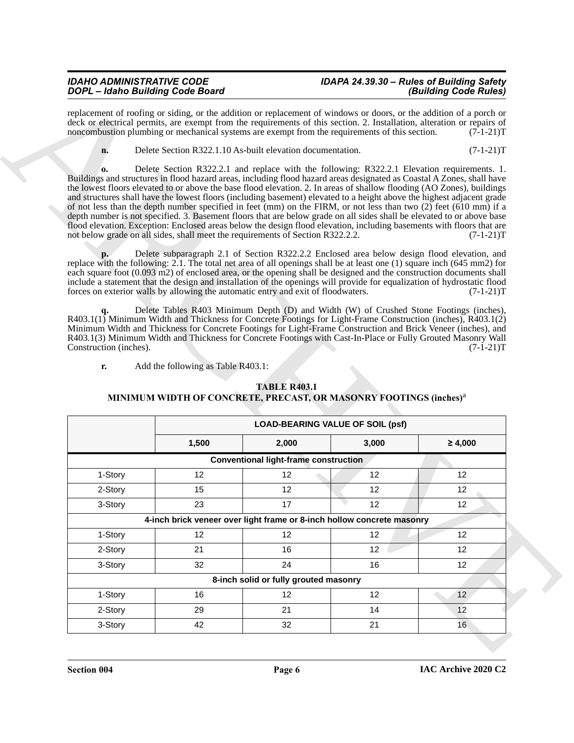|                              | replacement of roofing or siding, or the addition or replacement of windows or doors, or the addition of a porch or<br>deck or electrical permits, are exempt from the requirements of this section. 2. Installation, alteration or repairs of<br>noncombustion plumbing or mechanical systems are exempt from the requirements of this section.                                                                                                                                                                                                                                                                                                                                                                                                                                                                                                                                                                                                                                                                                                                                                                                                                                                                                                                                                                                                                                                                                                                                                                                                                                                                                                                                                                                                                                                                                                                                                                                                            |                                              |                 | $(7-1-21)T$                |
|------------------------------|-------------------------------------------------------------------------------------------------------------------------------------------------------------------------------------------------------------------------------------------------------------------------------------------------------------------------------------------------------------------------------------------------------------------------------------------------------------------------------------------------------------------------------------------------------------------------------------------------------------------------------------------------------------------------------------------------------------------------------------------------------------------------------------------------------------------------------------------------------------------------------------------------------------------------------------------------------------------------------------------------------------------------------------------------------------------------------------------------------------------------------------------------------------------------------------------------------------------------------------------------------------------------------------------------------------------------------------------------------------------------------------------------------------------------------------------------------------------------------------------------------------------------------------------------------------------------------------------------------------------------------------------------------------------------------------------------------------------------------------------------------------------------------------------------------------------------------------------------------------------------------------------------------------------------------------------------------------|----------------------------------------------|-----------------|----------------------------|
| n.                           | Delete Section R322.1.10 As-built elevation documentation.                                                                                                                                                                                                                                                                                                                                                                                                                                                                                                                                                                                                                                                                                                                                                                                                                                                                                                                                                                                                                                                                                                                                                                                                                                                                                                                                                                                                                                                                                                                                                                                                                                                                                                                                                                                                                                                                                                  |                                              |                 | $(7-1-21)T$                |
|                              | Delete Section R322.2.1 and replace with the following: R322.2.1 Elevation requirements. 1.<br>Buildings and structures in flood hazard areas, including flood hazard areas designated as Coastal A Zones, shall have<br>the lowest floors elevated to or above the base flood elevation. 2. In areas of shallow flooding (AO Zones), buildings<br>and structures shall have the lowest floors (including basement) elevated to a height above the highest adjacent grade<br>of not less than the depth number specified in feet (mm) on the FIRM, or not less than two (2) feet (610 mm) if a<br>depth number is not specified. 3. Basement floors that are below grade on all sides shall be elevated to or above base<br>flood elevation. Exception: Enclosed areas below the design flood elevation, including basements with floors that are<br>not below grade on all sides, shall meet the requirements of Section R322.2.2.<br>Delete subparagraph 2.1 of Section R322.2.2 Enclosed area below design flood elevation, and<br>replace with the following: 2.1. The total net area of all openings shall be at least one $(1)$ square inch $(645 \text{ mm2})$ for<br>each square foot (0.093 m2) of enclosed area, or the opening shall be designed and the construction documents shall<br>include a statement that the design and installation of the openings will provide for equalization of hydrostatic flood<br>forces on exterior walls by allowing the automatic entry and exit of floodwaters.<br>Delete Tables R403 Minimum Depth (D) and Width (W) of Crushed Stone Footings (inches),<br>R403.1(1) Minimum Width and Thickness for Concrete Footings for Light-Frame Construction (inches), R403.1(2)<br>Minimum Width and Thickness for Concrete Footings for Light-Frame Construction and Brick Veneer (inches), and<br>R403.1(3) Minimum Width and Thickness for Concrete Footings with Cast-In-Place or Fully Grouted Masonry Wall |                                              |                 | $(7-1-21)T$<br>$(7-1-21)T$ |
| Construction (inches).<br>r. | Add the following as Table R403.1:<br>MINIMUM WIDTH OF CONCRETE, PRECAST, OR MASONRY FOOTINGS (inches) <sup>a</sup>                                                                                                                                                                                                                                                                                                                                                                                                                                                                                                                                                                                                                                                                                                                                                                                                                                                                                                                                                                                                                                                                                                                                                                                                                                                                                                                                                                                                                                                                                                                                                                                                                                                                                                                                                                                                                                         | <b>TABLE R403.1</b>                          |                 | $(7-1-21)T$                |
|                              |                                                                                                                                                                                                                                                                                                                                                                                                                                                                                                                                                                                                                                                                                                                                                                                                                                                                                                                                                                                                                                                                                                                                                                                                                                                                                                                                                                                                                                                                                                                                                                                                                                                                                                                                                                                                                                                                                                                                                             | <b>LOAD-BEARING VALUE OF SOIL (psf)</b>      |                 |                            |
|                              | 1,500                                                                                                                                                                                                                                                                                                                                                                                                                                                                                                                                                                                                                                                                                                                                                                                                                                                                                                                                                                                                                                                                                                                                                                                                                                                                                                                                                                                                                                                                                                                                                                                                                                                                                                                                                                                                                                                                                                                                                       | 2,000                                        | 3,000           | $\geq 4,000$               |
|                              |                                                                                                                                                                                                                                                                                                                                                                                                                                                                                                                                                                                                                                                                                                                                                                                                                                                                                                                                                                                                                                                                                                                                                                                                                                                                                                                                                                                                                                                                                                                                                                                                                                                                                                                                                                                                                                                                                                                                                             | <b>Conventional light-frame construction</b> |                 |                            |
| 1-Story                      | 12                                                                                                                                                                                                                                                                                                                                                                                                                                                                                                                                                                                                                                                                                                                                                                                                                                                                                                                                                                                                                                                                                                                                                                                                                                                                                                                                                                                                                                                                                                                                                                                                                                                                                                                                                                                                                                                                                                                                                          | 12                                           | 12              | 12                         |
| 2-Story                      | 15                                                                                                                                                                                                                                                                                                                                                                                                                                                                                                                                                                                                                                                                                                                                                                                                                                                                                                                                                                                                                                                                                                                                                                                                                                                                                                                                                                                                                                                                                                                                                                                                                                                                                                                                                                                                                                                                                                                                                          | 12                                           | 12              | 12                         |
| 3-Story                      | 23                                                                                                                                                                                                                                                                                                                                                                                                                                                                                                                                                                                                                                                                                                                                                                                                                                                                                                                                                                                                                                                                                                                                                                                                                                                                                                                                                                                                                                                                                                                                                                                                                                                                                                                                                                                                                                                                                                                                                          | 17                                           | 12              | 12                         |
|                              | 4-inch brick veneer over light frame or 8-inch hollow concrete masonry                                                                                                                                                                                                                                                                                                                                                                                                                                                                                                                                                                                                                                                                                                                                                                                                                                                                                                                                                                                                                                                                                                                                                                                                                                                                                                                                                                                                                                                                                                                                                                                                                                                                                                                                                                                                                                                                                      |                                              |                 |                            |
| 1-Story                      | 12                                                                                                                                                                                                                                                                                                                                                                                                                                                                                                                                                                                                                                                                                                                                                                                                                                                                                                                                                                                                                                                                                                                                                                                                                                                                                                                                                                                                                                                                                                                                                                                                                                                                                                                                                                                                                                                                                                                                                          | 12 <sup>°</sup>                              | 12              | 12                         |
| 2-Story                      | 21                                                                                                                                                                                                                                                                                                                                                                                                                                                                                                                                                                                                                                                                                                                                                                                                                                                                                                                                                                                                                                                                                                                                                                                                                                                                                                                                                                                                                                                                                                                                                                                                                                                                                                                                                                                                                                                                                                                                                          | 16                                           | 12 <sup>°</sup> | 12                         |
| 3-Story                      | 32                                                                                                                                                                                                                                                                                                                                                                                                                                                                                                                                                                                                                                                                                                                                                                                                                                                                                                                                                                                                                                                                                                                                                                                                                                                                                                                                                                                                                                                                                                                                                                                                                                                                                                                                                                                                                                                                                                                                                          | 24                                           | 16              | 12                         |
|                              |                                                                                                                                                                                                                                                                                                                                                                                                                                                                                                                                                                                                                                                                                                                                                                                                                                                                                                                                                                                                                                                                                                                                                                                                                                                                                                                                                                                                                                                                                                                                                                                                                                                                                                                                                                                                                                                                                                                                                             | 8-inch solid or fully grouted masonry        |                 |                            |
| 1-Story                      | 16                                                                                                                                                                                                                                                                                                                                                                                                                                                                                                                                                                                                                                                                                                                                                                                                                                                                                                                                                                                                                                                                                                                                                                                                                                                                                                                                                                                                                                                                                                                                                                                                                                                                                                                                                                                                                                                                                                                                                          | 12                                           | 12              | 12 <sub>2</sub>            |
| 2-Story                      | 29                                                                                                                                                                                                                                                                                                                                                                                                                                                                                                                                                                                                                                                                                                                                                                                                                                                                                                                                                                                                                                                                                                                                                                                                                                                                                                                                                                                                                                                                                                                                                                                                                                                                                                                                                                                                                                                                                                                                                          | 21                                           | 14              | 12                         |

#### **TABLE R403.1 MINIMUM WIDTH OF CONCRETE, PRECAST, OR MASONRY FOOTINGS (inches)**<sup>a</sup>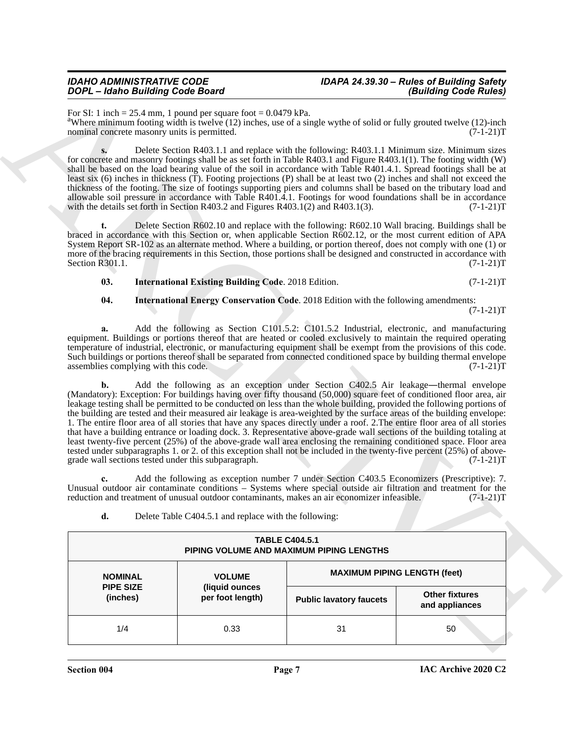| Delete Table C404.5.1 and replace with the following: |
|-------------------------------------------------------|
|                                                       |

|                              | DOPL - Idaho Building Code Board                                                                                  |                                                                                            |                                | (Building Code Rules)                                                                                                                                                                                                                                                                                                                                                                                                                                                                                                                                                                                                                                                                                                                                                                                                                                                                                                                                                                   |  |  |
|------------------------------|-------------------------------------------------------------------------------------------------------------------|--------------------------------------------------------------------------------------------|--------------------------------|-----------------------------------------------------------------------------------------------------------------------------------------------------------------------------------------------------------------------------------------------------------------------------------------------------------------------------------------------------------------------------------------------------------------------------------------------------------------------------------------------------------------------------------------------------------------------------------------------------------------------------------------------------------------------------------------------------------------------------------------------------------------------------------------------------------------------------------------------------------------------------------------------------------------------------------------------------------------------------------------|--|--|
|                              | For SI: 1 inch = 25.4 mm, 1 pound per square foot = $0.0479$ kPa.<br>nominal concrete masonry units is permitted. |                                                                                            |                                | <sup>a</sup> Where minimum footing width is twelve (12) inches, use of a single wythe of solid or fully grouted twelve (12)-inch<br>$(7-1-21)T$                                                                                                                                                                                                                                                                                                                                                                                                                                                                                                                                                                                                                                                                                                                                                                                                                                         |  |  |
|                              | with the details set forth in Section R403.2 and Figures R403.1(2) and R403.1(3).                                 |                                                                                            |                                | Delete Section R403.1.1 and replace with the following: R403.1.1 Minimum size. Minimum sizes<br>for concrete and masonry footings shall be as set forth in Table R403.1 and Figure R403.1(1). The footing width (W)<br>shall be based on the load bearing value of the soil in accordance with Table R401.4.1. Spread footings shall be at<br>least six $(6)$ inches in thickness $(T)$ . Footing projections $(P)$ shall be at least two $(2)$ inches and shall not exceed the<br>thickness of the footing. The size of footings supporting piers and columns shall be based on the tributary load and<br>allowable soil pressure in accordance with Table R401.4.1. Footings for wood foundations shall be in accordance<br>$(7-1-21)T$                                                                                                                                                                                                                                               |  |  |
| t.<br>Section R301.1.        |                                                                                                                   |                                                                                            |                                | Delete Section R602.10 and replace with the following: R602.10 Wall bracing. Buildings shall be<br>braced in accordance with this Section or, when applicable Section R602.12, or the most current edition of APA<br>System Report SR-102 as an alternate method. Where a building, or portion thereof, does not comply with one (1) or<br>more of the bracing requirements in this Section, those portions shall be designed and constructed in accordance with<br>$(7-1-21)T$                                                                                                                                                                                                                                                                                                                                                                                                                                                                                                         |  |  |
| 03.                          |                                                                                                                   | <b>International Existing Building Code. 2018 Edition.</b>                                 |                                | $(7-1-21)T$                                                                                                                                                                                                                                                                                                                                                                                                                                                                                                                                                                                                                                                                                                                                                                                                                                                                                                                                                                             |  |  |
| 04.                          |                                                                                                                   | <b>International Energy Conservation Code.</b> 2018 Edition with the following amendments: |                                |                                                                                                                                                                                                                                                                                                                                                                                                                                                                                                                                                                                                                                                                                                                                                                                                                                                                                                                                                                                         |  |  |
| a.                           | assemblies complying with this code.                                                                              |                                                                                            |                                | Add the following as Section C101.5.2: C101.5.2 Industrial, electronic, and manufacturing<br>equipment. Buildings or portions thereof that are heated or cooled exclusively to maintain the required operating<br>temperature of industrial, electronic, or manufacturing equipment shall be exempt from the provisions of this code.<br>Such buildings or portions thereof shall be separated from connected conditioned space by building thermal envelope<br>$(7-1-21)T$                                                                                                                                                                                                                                                                                                                                                                                                                                                                                                             |  |  |
| b.                           | grade wall sections tested under this subparagraph.                                                               |                                                                                            |                                | Add the following as an exception under Section C402.5 Air leakage—thermal envelope<br>(Mandatory): Exception: For buildings having over fifty thousand (50,000) square feet of conditioned floor area, air<br>leakage testing shall be permitted to be conducted on less than the whole building, provided the following portions of<br>the building are tested and their measured air leakage is area-weighted by the surface areas of the building envelope:<br>1. The entire floor area of all stories that have any spaces directly under a roof. 2. The entire floor area of all stories<br>that have a building entrance or loading dock. 3. Representative above-grade wall sections of the building totaling at<br>least twenty-five percent (25%) of the above-grade wall area enclosing the remaining conditioned space. Floor area<br>tested under subparagraphs 1. or 2. of this exception shall not be included in the twenty-five percent (25%) of above-<br>$(7-1-21)T$ |  |  |
|                              |                                                                                                                   |                                                                                            |                                |                                                                                                                                                                                                                                                                                                                                                                                                                                                                                                                                                                                                                                                                                                                                                                                                                                                                                                                                                                                         |  |  |
| c.                           | reduction and treatment of unusual outdoor contaminants, makes an air economizer infeasible.                      |                                                                                            |                                | Add the following as exception number 7 under Section C403.5 Economizers (Prescriptive): 7.<br>Unusual outdoor air contaminate conditions – Systems where special outside air filtration and treatment for the<br>$(7-1-21)T$                                                                                                                                                                                                                                                                                                                                                                                                                                                                                                                                                                                                                                                                                                                                                           |  |  |
| d.                           |                                                                                                                   | Delete Table C404.5.1 and replace with the following:                                      |                                |                                                                                                                                                                                                                                                                                                                                                                                                                                                                                                                                                                                                                                                                                                                                                                                                                                                                                                                                                                                         |  |  |
|                              |                                                                                                                   | <b>TABLE C404.5.1</b><br>PIPING VOLUME AND MAXIMUM PIPING LENGTHS                          |                                |                                                                                                                                                                                                                                                                                                                                                                                                                                                                                                                                                                                                                                                                                                                                                                                                                                                                                                                                                                                         |  |  |
| <b>NOMINAL</b>               |                                                                                                                   | <b>VOLUME</b>                                                                              |                                | <b>MAXIMUM PIPING LENGTH (feet)</b>                                                                                                                                                                                                                                                                                                                                                                                                                                                                                                                                                                                                                                                                                                                                                                                                                                                                                                                                                     |  |  |
| <b>PIPE SIZE</b><br>(inches) |                                                                                                                   | (liquid ounces<br>per foot length)                                                         | <b>Public lavatory faucets</b> | <b>Other fixtures</b><br>and appliances                                                                                                                                                                                                                                                                                                                                                                                                                                                                                                                                                                                                                                                                                                                                                                                                                                                                                                                                                 |  |  |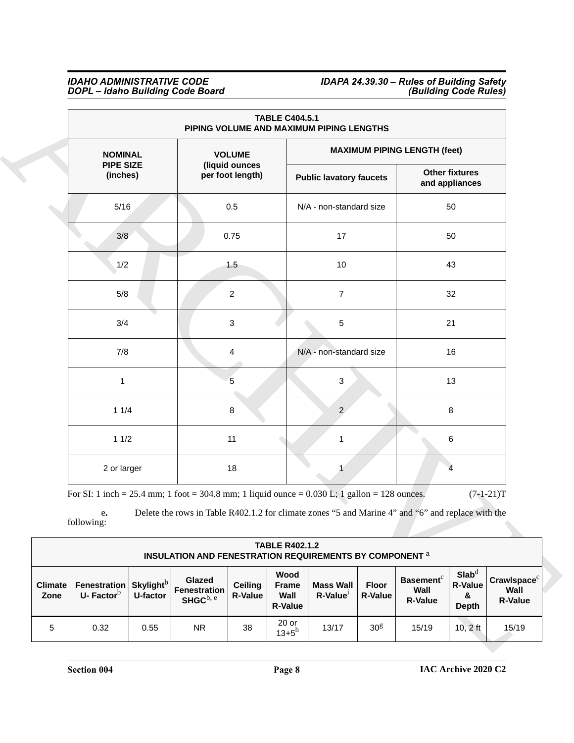#### *IDAHO ADMINISTRATIVE CODE IDAPA 24.39.30 – Rules of Building Safety DOPL – Idaho Building Code Board (Building Code Rules)*

|                        |                                                                                                                     |          |                                                                                                   |                                    |                                                | <b>TABLE C404.5.1</b><br>PIPING VOLUME AND MAXIMUM PIPING LENGTHS |                         |                                                        |                                                          |                                                   |  |  |
|------------------------|---------------------------------------------------------------------------------------------------------------------|----------|---------------------------------------------------------------------------------------------------|------------------------------------|------------------------------------------------|-------------------------------------------------------------------|-------------------------|--------------------------------------------------------|----------------------------------------------------------|---------------------------------------------------|--|--|
|                        | <b>NOMINAL</b>                                                                                                      |          |                                                                                                   | <b>VOLUME</b>                      |                                                |                                                                   |                         |                                                        | <b>MAXIMUM PIPING LENGTH (feet)</b>                      |                                                   |  |  |
|                        | <b>PIPE SIZE</b><br>(inches)                                                                                        |          |                                                                                                   | (liquid ounces<br>per foot length) |                                                | <b>Public lavatory faucets</b>                                    |                         |                                                        | <b>Other fixtures</b><br>and appliances                  |                                                   |  |  |
|                        | 5/16                                                                                                                |          |                                                                                                   | 0.5                                |                                                | N/A - non-standard size                                           |                         |                                                        | 50                                                       |                                                   |  |  |
|                        | 3/8                                                                                                                 |          |                                                                                                   | 0.75                               |                                                | 17                                                                |                         |                                                        | 50                                                       |                                                   |  |  |
|                        | 1/2                                                                                                                 |          |                                                                                                   | 1.5                                |                                                | 10                                                                |                         |                                                        | 43                                                       |                                                   |  |  |
|                        | 5/8                                                                                                                 |          |                                                                                                   | $\overline{c}$                     |                                                | $\overline{7}$                                                    |                         |                                                        | 32                                                       |                                                   |  |  |
|                        | 3/4                                                                                                                 |          |                                                                                                   | 3                                  |                                                | 5                                                                 |                         |                                                        | 21                                                       |                                                   |  |  |
|                        | 7/8                                                                                                                 |          |                                                                                                   | 4                                  |                                                | N/A - non-standard size                                           |                         |                                                        | 16                                                       |                                                   |  |  |
|                        | 1                                                                                                                   |          |                                                                                                   | 5                                  |                                                | 3                                                                 |                         |                                                        | 13                                                       |                                                   |  |  |
|                        | 11/4                                                                                                                |          |                                                                                                   | 8                                  |                                                | $\overline{2}$                                                    |                         |                                                        | 8                                                        |                                                   |  |  |
|                        | 11/2                                                                                                                |          |                                                                                                   | 11                                 |                                                | 1                                                                 |                         |                                                        | 6                                                        |                                                   |  |  |
|                        | 2 or larger                                                                                                         |          |                                                                                                   | 18                                 |                                                | $\mathbf{1}$                                                      |                         |                                                        | $\overline{4}$                                           |                                                   |  |  |
|                        | For SI: 1 inch = 25.4 mm; 1 foot = 304.8 mm; 1 liquid ounce = $0.030$ L; 1 gallon = 128 ounces.<br>e.<br>following: |          | Delete the rows in Table R402.1.2 for climate zones "5 and Marine 4" and "6" and replace with the |                                    |                                                |                                                                   |                         |                                                        |                                                          | $(7-1-21)T$                                       |  |  |
|                        |                                                                                                                     |          | <b>INSULATION AND FENESTRATION REQUIREMENTS BY COMPONENT a</b>                                    |                                    | <b>TABLE R402.1.2</b>                          |                                                                   |                         |                                                        |                                                          |                                                   |  |  |
| <b>Climate</b><br>Zone | Fenestration Skylight <sup>b</sup><br>U-Factor $b$                                                                  | U-factor | Glazed<br>Fenestration<br>SHGC <sup>b, e</sup>                                                    | <b>Ceiling</b><br><b>R-Value</b>   | Wood<br><b>Frame</b><br>Wall<br><b>R-Value</b> | <b>Mass Wall</b><br>R-Value <sup>1</sup>                          | <b>Floor</b><br>R-Value | <b>Basement</b> <sup>c</sup><br>Wall<br><b>R-Value</b> | $\mathbf{Slab}^d$<br><b>R-Value</b><br>&<br><b>Depth</b> | Crawlspace <sup>c</sup><br>Wall<br><b>R-Value</b> |  |  |
| $\,$ 5 $\,$            | 0.32                                                                                                                | 0.55     | <b>NR</b>                                                                                         | 38                                 | $20$ or<br>$13 + 5^h$                          | 13/17                                                             | 30 <sup>g</sup>         | 15/19                                                  | $10, 2$ ft                                               | 15/19                                             |  |  |

|                        |                              |                                          | <b>INSULATION AND FENESTRATION REQUIREMENTS BY COMPONENT a</b> |                                  | <b>TABLE R402.1.2</b>                          |                                    |                         |                                                        |                                                            |                                             |
|------------------------|------------------------------|------------------------------------------|----------------------------------------------------------------|----------------------------------|------------------------------------------------|------------------------------------|-------------------------|--------------------------------------------------------|------------------------------------------------------------|---------------------------------------------|
| <b>Climate</b><br>Zone | Fenestration<br>U-Factor $b$ | <b>Skylight</b> <sup>b</sup><br>U-factor | Glazed<br><b>Fenestration</b><br>SHGC $^{\rm b, e}$            | <b>Ceiling</b><br><b>R-Value</b> | Wood<br><b>Frame</b><br>Wall<br><b>R-Value</b> | <b>Mass Wall</b><br>$R$ -Value $1$ | Floor<br><b>R-Value</b> | <b>Basement</b> <sup>c</sup><br>Wall<br><b>R-Value</b> | $Slab^{\mathrm{u}}$<br><b>R-Value</b><br>&<br><b>Depth</b> | $C$ rawlspace $C$<br>Wall<br><b>R-Value</b> |
| 5                      | 0.32                         | 0.55                                     | <b>NR</b>                                                      | 38                               | $20$ or<br>$13 + 5^h$                          | 13/17                              | 30 <sup>g</sup>         | 15/19                                                  | $10.2$ ft                                                  | 15/19                                       |

**Section 004 Page 8**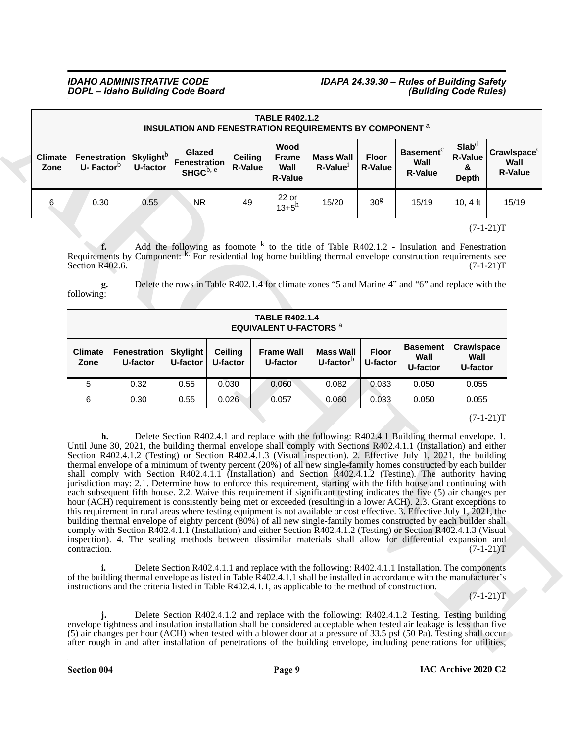## *IDAHO ADMINISTRATIVE CODE IDAPA 24.39.30 – Rules of Building Safety*

|                        |                                       | <b>TABLE R402.1.2</b><br><b>INSULATION AND FENESTRATION REQUIREMENTS BY COMPONENT at AUTOMORY AT ALCOCATE</b>                                                                                                                                                                                                                                                                                                                                                                                                                                                                                                                                                                                                                                                                                                                                                                                                                                                                                                                                                                                                                                                                                                                                                                                                                              |                                                                                                |                                  |                                                                                                   |                                             |                                |                                                        |                                                          |                                                   |
|------------------------|---------------------------------------|--------------------------------------------------------------------------------------------------------------------------------------------------------------------------------------------------------------------------------------------------------------------------------------------------------------------------------------------------------------------------------------------------------------------------------------------------------------------------------------------------------------------------------------------------------------------------------------------------------------------------------------------------------------------------------------------------------------------------------------------------------------------------------------------------------------------------------------------------------------------------------------------------------------------------------------------------------------------------------------------------------------------------------------------------------------------------------------------------------------------------------------------------------------------------------------------------------------------------------------------------------------------------------------------------------------------------------------------|------------------------------------------------------------------------------------------------|----------------------------------|---------------------------------------------------------------------------------------------------|---------------------------------------------|--------------------------------|--------------------------------------------------------|----------------------------------------------------------|---------------------------------------------------|
| <b>Climate</b><br>Zone | Fenestration<br>U-Factor <sup>b</sup> | Skylight <sup>b</sup><br>U-factor                                                                                                                                                                                                                                                                                                                                                                                                                                                                                                                                                                                                                                                                                                                                                                                                                                                                                                                                                                                                                                                                                                                                                                                                                                                                                                          | Glazed<br><b>Fenestration</b><br>SHGC $b, e$                                                   | <b>Ceiling</b><br><b>R-Value</b> | Wood<br><b>Frame</b><br>Wall<br><b>R-Value</b>                                                    | <b>Mass Wall</b><br>$R$ -Value <sup>1</sup> | <b>Floor</b><br><b>R-Value</b> | <b>Basement</b> <sup>c</sup><br>Wall<br><b>R-Value</b> | Slab <sup>d</sup><br><b>R-Value</b><br>&<br><b>Depth</b> | Crawlspace <sup>c</sup><br>Wall<br><b>R-Value</b> |
| 6                      | 0.30                                  | 0.55                                                                                                                                                                                                                                                                                                                                                                                                                                                                                                                                                                                                                                                                                                                                                                                                                                                                                                                                                                                                                                                                                                                                                                                                                                                                                                                                       | NR.                                                                                            | 49                               | 22 or<br>$13 + 5^h$                                                                               | 15/20                                       | 30 <sup>g</sup>                | 15/19                                                  | 10, 4 ft                                                 | 15/19                                             |
|                        | $f_{\cdot}$<br>Section R402.6.        | Requirements by Component: <sup>k.</sup> For residential log home building thermal envelope construction requirements see                                                                                                                                                                                                                                                                                                                                                                                                                                                                                                                                                                                                                                                                                                                                                                                                                                                                                                                                                                                                                                                                                                                                                                                                                  |                                                                                                |                                  | Add the following as footnote $k$ to the title of Table R402.1.2 - Insulation and Fenestration    |                                             |                                |                                                        |                                                          | $(7-1-21)T$<br>$(7-1-21)T$                        |
|                        | g.<br>following:                      |                                                                                                                                                                                                                                                                                                                                                                                                                                                                                                                                                                                                                                                                                                                                                                                                                                                                                                                                                                                                                                                                                                                                                                                                                                                                                                                                            |                                                                                                |                                  | Delete the rows in Table R402.1.4 for climate zones "5 and Marine 4" and "6" and replace with the |                                             |                                |                                                        |                                                          |                                                   |
|                        |                                       |                                                                                                                                                                                                                                                                                                                                                                                                                                                                                                                                                                                                                                                                                                                                                                                                                                                                                                                                                                                                                                                                                                                                                                                                                                                                                                                                            |                                                                                                |                                  | <b>TABLE R402.1.4</b><br><b>EQUIVALENT U-FACTORS <sup>a</sup></b>                                 |                                             |                                |                                                        |                                                          |                                                   |
|                        | <b>Climate</b><br>Zone                | <b>Fenestration</b><br>U-factor                                                                                                                                                                                                                                                                                                                                                                                                                                                                                                                                                                                                                                                                                                                                                                                                                                                                                                                                                                                                                                                                                                                                                                                                                                                                                                            | <b>Skylight</b><br>U-factor                                                                    | Ceiling<br>U-factor              | <b>Frame Wall</b><br>U-factor                                                                     | <b>Mass Wall</b><br>U-factor $b$            | <b>Floor</b><br>U-factor       | <b>Basement</b><br>Wall<br>U-factor                    | Crawlspace<br>Wall<br>U-factor                           |                                                   |
|                        | 5                                     | 0.32                                                                                                                                                                                                                                                                                                                                                                                                                                                                                                                                                                                                                                                                                                                                                                                                                                                                                                                                                                                                                                                                                                                                                                                                                                                                                                                                       | 0.55                                                                                           | 0.030                            | 0.060                                                                                             | 0.082                                       | 0.033                          | 0.050                                                  | 0.055                                                    |                                                   |
|                        | 6                                     | 0.30                                                                                                                                                                                                                                                                                                                                                                                                                                                                                                                                                                                                                                                                                                                                                                                                                                                                                                                                                                                                                                                                                                                                                                                                                                                                                                                                       | 0.55                                                                                           | 0.026                            | 0.057                                                                                             | 0.060                                       | 0.033                          | 0.050                                                  | 0.055                                                    |                                                   |
|                        | h.<br>contraction.                    | Until June 30, 2021, the building thermal envelope shall comply with Sections R402.4.1.1 (Installation) and either<br>Section R402.4.1.2 (Testing) or Section R402.4.1.3 (Visual inspection). 2. Effective July 1, 2021, the building<br>thermal envelope of a minimum of twenty percent (20%) of all new single-family homes constructed by each builder<br>shall comply with Section R402.4.1.1 (Installation) and Section R402.4.1.2 (Testing). The authority having<br>jurisdiction may: 2.1. Determine how to enforce this requirement, starting with the fifth house and continuing with<br>each subsequent fifth house. 2.2. Waive this requirement if significant testing indicates the five (5) air changes per<br>hour (ACH) requirement is consistently being met or exceeded (resulting in a lower ACH). 2.3. Grant exceptions to<br>this requirement in rural areas where testing equipment is not available or cost effective. 3. Effective July 1, $2021$ , the<br>building thermal envelope of eighty percent (80%) of all new single-family homes constructed by each builder shall<br>comply with Section R402.4.1.1 (Installation) and either Section R402.4.1.2 (Testing) or Section R402.4.1.3 (Visual<br>inspection). 4. The sealing methods between dissimilar materials shall allow for differential expansion and |                                                                                                |                                  | Delete Section R402.4.1 and replace with the following: R402.4.1 Building thermal envelope. 1.    |                                             |                                |                                                        |                                                          | $(7-1-21)T$                                       |
|                        | i.                                    | of the building thermal envelope as listed in Table R402.4.1.1 shall be installed in accordance with the manufacturer's<br>instructions and the criteria listed in Table R402.4.1.1, as applicable to the method of construction.                                                                                                                                                                                                                                                                                                                                                                                                                                                                                                                                                                                                                                                                                                                                                                                                                                                                                                                                                                                                                                                                                                          |                                                                                                |                                  | Delete Section R402.4.1.1 and replace with the following: R402.4.1.1 Installation. The components |                                             |                                |                                                        |                                                          | $(7-1-21)T$                                       |
|                        |                                       |                                                                                                                                                                                                                                                                                                                                                                                                                                                                                                                                                                                                                                                                                                                                                                                                                                                                                                                                                                                                                                                                                                                                                                                                                                                                                                                                            | Delete Section R402.4.1.2 and replace with the following: R402.4.1.2 Testing. Testing building |                                  |                                                                                                   |                                             |                                |                                                        |                                                          |                                                   |

|                        |                                 |                             |                            | <b>TABLE R402.1.4</b><br><b>EQUIVALENT U-FACTORS <sup>a</sup></b> |                                  |                          |                                     |                                       |
|------------------------|---------------------------------|-----------------------------|----------------------------|-------------------------------------------------------------------|----------------------------------|--------------------------|-------------------------------------|---------------------------------------|
| <b>Climate</b><br>Zone | <b>Fenestration</b><br>U-factor | <b>Skylight</b><br>U-factor | <b>Ceiling</b><br>U-factor | <b>Frame Wall</b><br>U-factor                                     | <b>Mass Wall</b><br>U-factor $b$ | <b>Floor</b><br>U-factor | <b>Basement</b><br>Wall<br>U-factor | <b>Crawlspace</b><br>Wall<br>U-factor |
| 5                      | 0.32                            | 0.55                        | 0.030                      | 0.060                                                             | 0.082                            | 0.033                    | 0.050                               | 0.055                                 |
| 6                      | 0.30                            | 0.55                        | 0.026                      | 0.057                                                             | 0.060                            | 0.033                    | 0.050                               | 0.055                                 |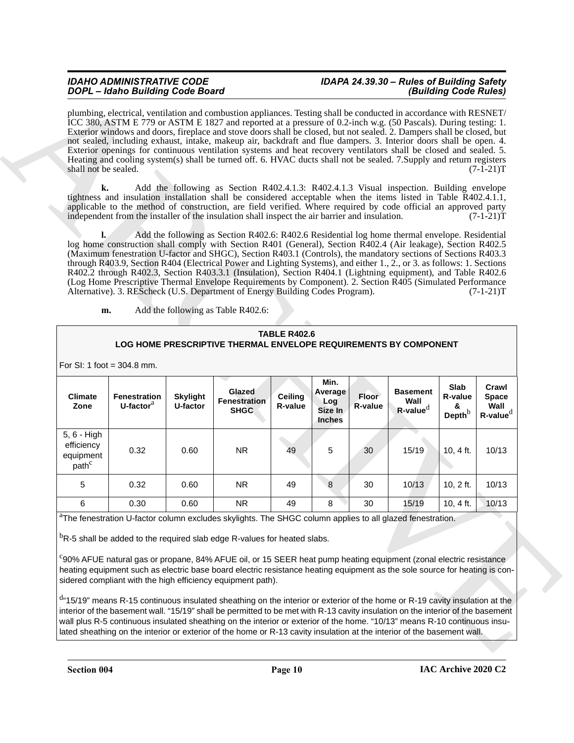## *IDAHO ADMINISTRATIVE CODE IDAPA 24.39.30 – Rules of Building Safety*

#### **TABLE R402.6 LOG HOME PRESCRIPTIVE THERMAL ENVELOPE REQUIREMENTS BY COMPONENT**

| shall not be sealed.<br>k.                                  |                                     |                             | Add the following as Section R402.4.1.3: R402.4.1.3 Visual inspection. Building envelope                                                                                                                                                                                                                                                                                                                                                                                                                                                                                                                                                                                                                                                                                                                        |                           |                                             |                  |                                           |                                          | $(7-1-21)T$                                     |
|-------------------------------------------------------------|-------------------------------------|-----------------------------|-----------------------------------------------------------------------------------------------------------------------------------------------------------------------------------------------------------------------------------------------------------------------------------------------------------------------------------------------------------------------------------------------------------------------------------------------------------------------------------------------------------------------------------------------------------------------------------------------------------------------------------------------------------------------------------------------------------------------------------------------------------------------------------------------------------------|---------------------------|---------------------------------------------|------------------|-------------------------------------------|------------------------------------------|-------------------------------------------------|
|                                                             |                                     |                             | tightness and insulation installation shall be considered acceptable when the items listed in Table R402.4.1.1,<br>applicable to the method of construction, are field verified. Where required by code official an approved party<br>independent from the installer of the insulation shall inspect the air barrier and insulation.                                                                                                                                                                                                                                                                                                                                                                                                                                                                            |                           |                                             |                  |                                           |                                          | $(7-1-21)T$                                     |
| Ŀ.<br>m.                                                    |                                     |                             | Add the following as Section R402.6: R402.6 Residential log home thermal envelope. Residential<br>log home construction shall comply with Section R401 (General), Section R402.4 (Air leakage), Section R402.5<br>(Maximum fenestration U-factor and SHGC), Section R403.1 (Controls), the mandatory sections of Sections R403.3<br>through R403.9, Section R404 (Electrical Power and Lighting Systems), and either 1., 2., or 3. as follows: 1. Sections<br>R402.2 through R402.3, Section R403.3.1 (Insulation), Section R404.1 (Lightning equipment), and Table R402.6<br>(Log Home Prescriptive Thermal Envelope Requirements by Component). 2. Section R405 (Simulated Performance<br>Alternative). 3. REScheck (U.S. Department of Energy Building Codes Program).<br>Add the following as Table R402.6: |                           |                                             |                  |                                           |                                          | $(7-1-21)T$                                     |
|                                                             |                                     |                             |                                                                                                                                                                                                                                                                                                                                                                                                                                                                                                                                                                                                                                                                                                                                                                                                                 |                           |                                             |                  |                                           |                                          |                                                 |
|                                                             |                                     |                             | LOG HOME PRESCRIPTIVE THERMAL ENVELOPE REQUIREMENTS BY COMPONENT                                                                                                                                                                                                                                                                                                                                                                                                                                                                                                                                                                                                                                                                                                                                                | <b>TABLE R402.6</b>       |                                             |                  |                                           |                                          |                                                 |
|                                                             | For SI: 1 foot = $304.8$ mm.        |                             |                                                                                                                                                                                                                                                                                                                                                                                                                                                                                                                                                                                                                                                                                                                                                                                                                 |                           |                                             |                  |                                           |                                          |                                                 |
| <b>Climate</b><br>Zone                                      | <b>Fenestration</b><br>U-factor $a$ | <b>Skylight</b><br>U-factor | <b>Glazed</b><br><b>Fenestration</b><br><b>SHGC</b>                                                                                                                                                                                                                                                                                                                                                                                                                                                                                                                                                                                                                                                                                                                                                             | <b>Ceiling</b><br>R-value | Min.<br>Average<br>Log<br>Size In<br>Inches | Floor<br>R-value | <b>Basement</b><br>Wall<br>$R$ -value $d$ | Slab<br>R-value<br>&<br>Depth $^{\rm b}$ | Crawl<br><b>Space</b><br>Wall<br>$R$ -value $d$ |
| 5, 6 - High<br>efficiency<br>equipment<br>path <sup>c</sup> | 0.32                                | 0.60                        | <b>NR</b>                                                                                                                                                                                                                                                                                                                                                                                                                                                                                                                                                                                                                                                                                                                                                                                                       | 49                        | 5                                           | 30               | 15/19                                     | $10, 4$ ft.                              | 10/13                                           |
| 5                                                           | 0.32                                | 0.60                        | <b>NR</b>                                                                                                                                                                                                                                                                                                                                                                                                                                                                                                                                                                                                                                                                                                                                                                                                       | 49                        | 8                                           | 30               | 10/13                                     | 10, 2 ft.                                | 10/13                                           |
| 6                                                           | 0.30                                | 0.60                        | <b>NR</b>                                                                                                                                                                                                                                                                                                                                                                                                                                                                                                                                                                                                                                                                                                                                                                                                       | 49                        | 8                                           | 30               | 15/19                                     | 10, $4$ ft.                              | 10/13                                           |
|                                                             |                                     |                             | <sup>b</sup> R-5 shall be added to the required slab edge R-values for heated slabs.<br>°90% AFUE natural gas or propane, 84% AFUE oil, or 15 SEER heat pump heating equipment (zonal electric resistance<br>heating equipment such as electric base board electric resistance heating equipment as the sole source for heating is con-<br>sidered compliant with the high efficiency equipment path).                                                                                                                                                                                                                                                                                                                                                                                                          |                           |                                             |                  |                                           |                                          |                                                 |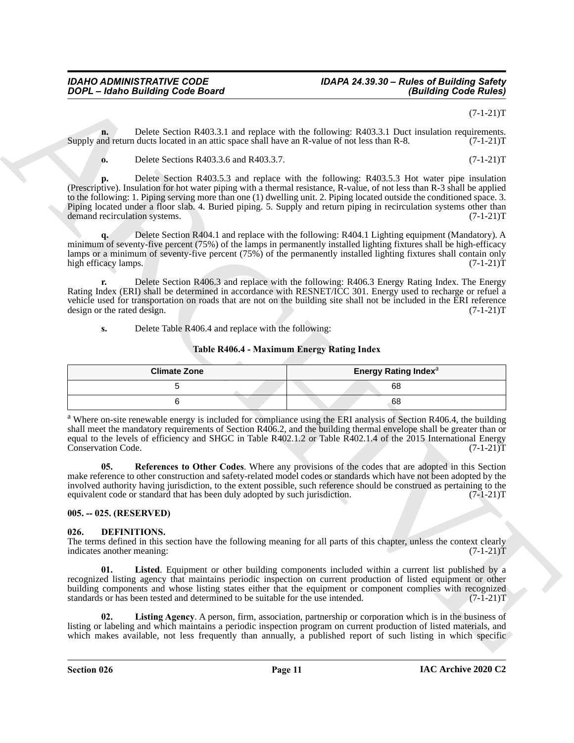### *IDAHO ADMINISTRATIVE CODE IDAPA 24.39.30 – Rules of Building Safety*

 $(7-1-21)T$ 

**n.** Delete Section R403.3.1 and replace with the following: R403.3.1 Duct insulation requirements.<br>
Ind return ducts located in an attic space shall have an R-value of not less than R-8. (7-1-21) Supply and return ducts located in an attic space shall have an R-value of not less than R-8.

**o.** Delete Sections R403.3.6 and R403.3.7. (7-1-21)T

**Control and the set of the set of the set of the set of the set of the set of the set of the set of the set of the set of the set of the set of the set of the set of the set of the set of the set of the set of the set of p.** Delete Section R403.5.3 and replace with the following: R403.5.3 Hot water pipe insulation (Prescriptive). Insulation for hot water piping with a thermal resistance, R-value, of not less than R-3 shall be applied to the following: 1. Piping serving more than one (1) dwelling unit. 2. Piping located outside the conditioned space. 3. Piping located under a floor slab. 4. Buried piping. 5. Supply and return piping in recirculation systems other than demand recirculation systems. (7-1-21)T demand recirculation systems.

**q.** Delete Section R404.1 and replace with the following: R404.1 Lighting equipment (Mandatory). A minimum of seventy-five percent (75%) of the lamps in permanently installed lighting fixtures shall be high-efficacy lamps or a minimum of seventy-five percent (75%) of the permanently installed lighting fixtures shall contain only<br>high efficacy lamps. (7-1-21)T high efficacy lamps.

**r.** Delete Section R406.3 and replace with the following: R406.3 Energy Rating Index. The Energy Rating Index (ERI) shall be determined in accordance with RESNET/ICC 301. Energy used to recharge or refuel a vehicle used for transportation on roads that are not on the building site shall not be included in the ERI reference design or the rated design.  $(7-1-21)$ T design or the rated design.

**s.** Delete Table R406.4 and replace with the following:

#### **Table R406.4 - Maximum Energy Rating Index**

| <b>Climate Zone</b> | <b>Energy Rating Index</b> <sup>a</sup> |
|---------------------|-----------------------------------------|
|                     | 68                                      |
|                     | 68                                      |

<sup>a</sup> Where on-site renewable energy is included for compliance using the ERI analysis of Section R406.4, the building shall meet the mandatory requirements of Section R406.2, and the building thermal envelope shall be greater than or equal to the levels of efficiency and SHGC in Table R402.1.2 or Table R402.1.4 of the  $\overline{2015}$  International Energy<br>Conservation Code. (7-1-21)T Conservation Code.

**05. References to Other Codes**. Where any provisions of the codes that are adopted in this Section make reference to other construction and safety-related model codes or standards which have not been adopted by the involved authority having jurisdiction, to the extent possible, such reference should be construed as pertaining to the equivalent code or standard that has been duly adopted by such jurisdiction. (7-1-21)T equivalent code or standard that has been duly adopted by such jurisdiction.

#### <span id="page-10-0"></span>**005. -- 025. (RESERVED)**

#### <span id="page-10-2"></span><span id="page-10-1"></span>**026. DEFINITIONS.**

The terms defined in this section have the following meaning for all parts of this chapter, unless the context clearly indicates another meaning:  $(7-1-21)T$ indicates another meaning:

<span id="page-10-3"></span>**01. Listed**. Equipment or other building components included within a current list published by a recognized listing agency that maintains periodic inspection on current production of listed equipment or other building components and whose listing states either that the equipment or component complies with recognized standards or has been tested and determined to be suitable for the use intended. (7-1-21) standards or has been tested and determined to be suitable for the use intended.

<span id="page-10-4"></span>**02. Listing Agency**. A person, firm, association, partnership or corporation which is in the business of listing or labeling and which maintains a periodic inspection program on current production of listed materials, and which makes available, not less frequently than annually, a published report of such listing in which specific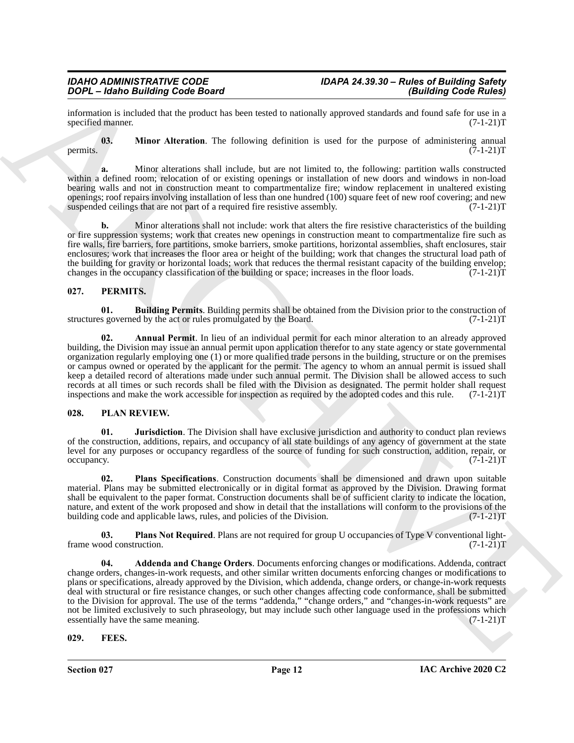information is included that the product has been tested to nationally approved standards and found safe for use in a specified manner.

<span id="page-11-3"></span>**03. Minor Alteration**. The following definition is used for the purpose of administering annual permits.  $(7-1-21)T$ 

**a.** Minor alterations shall include, but are not limited to, the following: partition walls constructed within a defined room; relocation of or existing openings or installation of new doors and windows in non-load bearing walls and not in construction meant to compartmentalize fire; window replacement in unaltered existing openings; roof repairs involving installation of less than one hundred (100) square feet of new roof covering; and new suspended ceilings that are not part of a required fire resistive assembly.  $(7-1-21)$ T

**b.** Minor alterations shall not include: work that alters the fire resistive characteristics of the building or fire suppression systems; work that creates new openings in construction meant to compartmentalize fire such as fire walls, fire barriers, fore partitions, smoke barriers, smoke partitions, horizontal assemblies, shaft enclosures, stair enclosures; work that increases the floor area or height of the building; work that changes the structural load path of the building for gravity or horizontal loads; work that reduces the thermal resistant capacity of the building envelop;<br>changes in the occupancy classification of the building or space; increases in the floor loads. (7-1-2 changes in the occupancy classification of the building or space; increases in the floor loads.

#### <span id="page-11-5"></span><span id="page-11-0"></span>**027. PERMITS.**

<span id="page-11-7"></span>**01. Building Permits**. Building permits shall be obtained from the Division prior to the construction of s governed by the act or rules promulgated by the Board. (7-1-21) structures governed by the act or rules promulgated by the Board.

<span id="page-11-6"></span>**02. Annual Permit**. In lieu of an individual permit for each minor alteration to an already approved building, the Division may issue an annual permit upon application therefor to any state agency or state governmental organization regularly employing one (1) or more qualified trade persons in the building, structure or on the premises or campus owned or operated by the applicant for the permit. The agency to whom an annual permit is issued shall keep a detailed record of alterations made under such annual permit. The Division shall be allowed access to such records at all times or such records shall be filed with the Division as designated. The permit holder shall request<br>inspections and make the work accessible for inspection as required by the adopted codes and this rule. ( inspections and make the work accessible for inspection as required by the adopted codes and this rule.

#### <span id="page-11-8"></span><span id="page-11-1"></span>**028. PLAN REVIEW.**

<span id="page-11-10"></span>**01. Jurisdiction**. The Division shall have exclusive jurisdiction and authority to conduct plan reviews of the construction, additions, repairs, and occupancy of all state buildings of any agency of government at the state level for any purposes or occupancy regardless of the source of funding for such construction, addition, repair, or  $\alpha$  occupancy.  $(7-1-21)T$ 

<span id="page-11-12"></span>**02. Plans Specifications**. Construction documents shall be dimensioned and drawn upon suitable material. Plans may be submitted electronically or in digital format as approved by the Division. Drawing format shall be equivalent to the paper format. Construction documents shall be of sufficient clarity to indicate the location, nature, and extent of the work proposed and show in detail that the installations will conform to the provisions of the building code and applicable laws, rules, and policies of the Division. (7-1-21)T

<span id="page-11-11"></span><span id="page-11-9"></span>**03. Plans Not Required**. Plans are not required for group U occupancies of Type V conventional light-<br>00d construction. (7-1-21)T frame wood construction.

**2004. Leading Code Roard**<br> **Columny in the simulation control of the simulation** control of the simulation control of the simulation of the simulation of the simulation of the simulation of the simulation of the simula **04. Addenda and Change Orders**. Documents enforcing changes or modifications. Addenda, contract change orders, changes-in-work requests, and other similar written documents enforcing changes or modifications to plans or specifications, already approved by the Division, which addenda, change orders, or change-in-work requests deal with structural or fire resistance changes, or such other changes affecting code conformance, shall be submitted to the Division for approval. The use of the terms "addenda," "change orders," and "changes-in-work requests" are not be limited exclusively to such phraseology, but may include such other language used in the professions which essentially have the same meaning. (7-1-21)T

#### <span id="page-11-4"></span><span id="page-11-2"></span>**029. FEES.**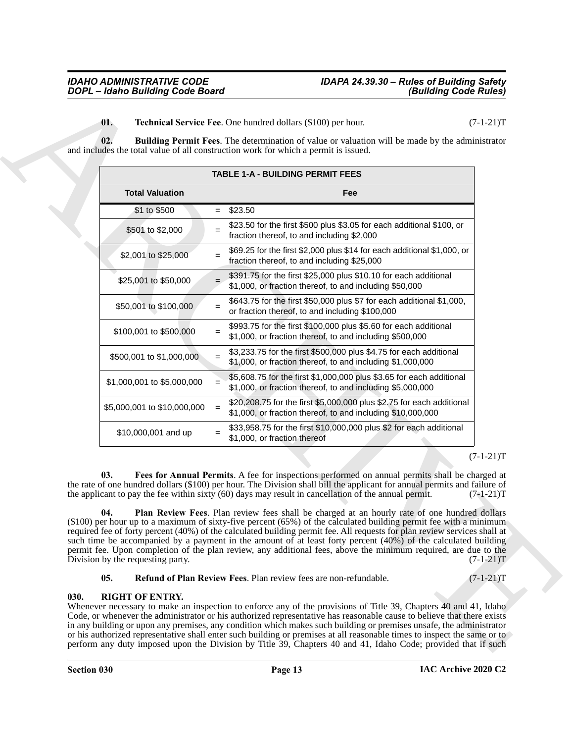<span id="page-12-5"></span><span id="page-12-1"></span>

|                                   | <b>TABLE 1-A - BUILDING PERMIT FEES</b>                                                                                                                                                                                                                                                                                                                                                                                                                                                                                                                                                |
|-----------------------------------|----------------------------------------------------------------------------------------------------------------------------------------------------------------------------------------------------------------------------------------------------------------------------------------------------------------------------------------------------------------------------------------------------------------------------------------------------------------------------------------------------------------------------------------------------------------------------------------|
| <b>Total Valuation</b>            | Fee                                                                                                                                                                                                                                                                                                                                                                                                                                                                                                                                                                                    |
| \$1 to \$500                      | \$23.50<br>$=$                                                                                                                                                                                                                                                                                                                                                                                                                                                                                                                                                                         |
| \$501 to \$2,000                  | \$23.50 for the first \$500 plus \$3.05 for each additional \$100, or<br>$=$<br>fraction thereof, to and including \$2,000                                                                                                                                                                                                                                                                                                                                                                                                                                                             |
| \$2,001 to \$25,000               | \$69.25 for the first \$2,000 plus \$14 for each additional \$1,000, or<br>$=$<br>fraction thereof, to and including \$25,000                                                                                                                                                                                                                                                                                                                                                                                                                                                          |
| \$25,001 to \$50,000              | \$391.75 for the first \$25,000 plus \$10.10 for each additional<br>$=$<br>\$1,000, or fraction thereof, to and including \$50,000                                                                                                                                                                                                                                                                                                                                                                                                                                                     |
| \$50,001 to \$100,000             | \$643.75 for the first \$50,000 plus \$7 for each additional \$1,000,<br>$=$<br>or fraction thereof, to and including \$100,000                                                                                                                                                                                                                                                                                                                                                                                                                                                        |
| \$100,001 to \$500,000            | \$993.75 for the first \$100,000 plus \$5.60 for each additional<br>$=$<br>\$1,000, or fraction thereof, to and including \$500,000                                                                                                                                                                                                                                                                                                                                                                                                                                                    |
| \$500,001 to \$1,000,000          | \$3,233.75 for the first \$500,000 plus \$4.75 for each additional<br>$\equiv$<br>\$1,000, or fraction thereof, to and including \$1,000,000                                                                                                                                                                                                                                                                                                                                                                                                                                           |
| \$1,000,001 to \$5,000,000        | \$5,608.75 for the first \$1,000,000 plus \$3.65 for each additional<br>$\qquad \qquad =$<br>\$1,000, or fraction thereof, to and including \$5,000,000                                                                                                                                                                                                                                                                                                                                                                                                                                |
| \$5,000,001 to \$10,000,000       | \$20,208.75 for the first \$5,000,000 plus \$2.75 for each additional<br>$\,=\,$<br>\$1,000, or fraction thereof, to and including \$10,000,000                                                                                                                                                                                                                                                                                                                                                                                                                                        |
| \$10,000,001 and up               | \$33,958.75 for the first \$10,000,000 plus \$2 for each additional<br>$=$<br>\$1,000, or fraction thereof                                                                                                                                                                                                                                                                                                                                                                                                                                                                             |
| 03.<br>04.                        | $(7-1-21)T$<br>Fees for Annual Permits. A fee for inspections performed on annual permits shall be charged at<br>the rate of one hundred dollars (\$100) per hour. The Division shall bill the applicant for annual permits and failure of<br>the applicant to pay the fee within sixty (60) days may result in cancellation of the annual permit.<br>$(7-1-21)T$<br>Plan Review Fees. Plan review fees shall be charged at an hourly rate of one hundred dollars<br>(\$100) per hour up to a maximum of sixty-five percent (65%) of the calculated building permit fee with a minimum |
| Division by the requesting party. | required fee of forty percent (40%) of the calculated building permit fee. All requests for plan review services shall at<br>such time be accompanied by a payment in the amount of at least forty percent $(40\%)$ of the calculated building<br>permit fee. Upon completion of the plan review, any additional fees, above the minimum required, are due to the<br>$(7-1-21)T$                                                                                                                                                                                                       |

#### <span id="page-12-6"></span><span id="page-12-4"></span><span id="page-12-3"></span><span id="page-12-2"></span>**05. Refund of Plan Review Fees**. Plan review fees are non-refundable.  $(7-1-21)T$

#### <span id="page-12-0"></span>**030. RIGHT OF ENTRY.**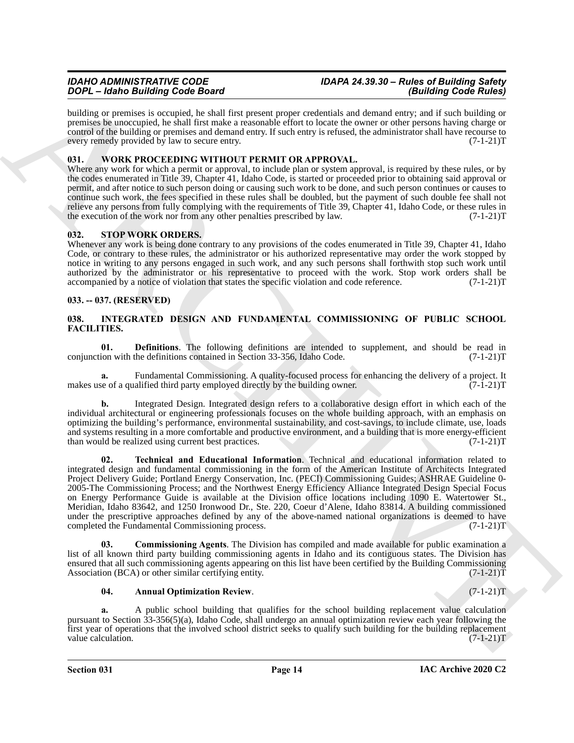building or premises is occupied, he shall first present proper credentials and demand entry; and if such building or premises be unoccupied, he shall first make a reasonable effort to locate the owner or other persons having charge or control of the building or premises and demand entry. If such entry is refused, the administrator shall have recourse to every remedy provided by law to secure entry. (7-1-21)T

#### <span id="page-13-10"></span><span id="page-13-0"></span>**031. WORK PROCEEDING WITHOUT PERMIT OR APPROVAL.**

Where any work for which a permit or approval, to include plan or system approval, is required by these rules, or by the codes enumerated in Title 39, Chapter 41, Idaho Code, is started or proceeded prior to obtaining said approval or permit, and after notice to such person doing or causing such work to be done, and such person continues or causes to continue such work, the fees specified in these rules shall be doubled, but the payment of such double fee shall not relieve any persons from fully complying with the requirements of Title 39, Chapter 41, Idaho Code, or these rules in the execution of the work nor from any other penalties prescribed by law. (7-1-21) the execution of the work nor from any other penalties prescribed by law.

#### <span id="page-13-9"></span><span id="page-13-1"></span>**032. STOP WORK ORDERS.**

Whenever any work is being done contrary to any provisions of the codes enumerated in Title 39, Chapter 41, Idaho Code, or contrary to these rules, the administrator or his authorized representative may order the work stopped by notice in writing to any persons engaged in such work, and any such persons shall forthwith stop such work until authorized by the administrator or his representative to proceed with the work. Stop work orders shall be accompanied by a notice of violation that states the specific violation and code reference. (7-1-21)T

#### <span id="page-13-2"></span>**033. -- 037. (RESERVED)**

#### <span id="page-13-4"></span><span id="page-13-3"></span>**038. INTEGRATED DESIGN AND FUNDAMENTAL COMMISSIONING OF PUBLIC SCHOOL FACILITIES.**

<span id="page-13-7"></span>**01. Definitions**. The following definitions are intended to supplement, and should be read in ion with the definitions contained in Section 33-356, Idaho Code. (7-1-21) conjunction with the definitions contained in Section 33-356, Idaho Code.

Fundamental Commissioning. A quality-focused process for enhancing the delivery of a project. It alified third party employed directly by the building owner.  $(7-1-21)$ T makes use of a qualified third party employed directly by the building owner.

<span id="page-13-8"></span>**b.** Integrated Design. Integrated design refers to a collaborative design effort in which each of the individual architectural or engineering professionals focuses on the whole building approach, with an emphasis on optimizing the building's performance, environmental sustainability, and cost-savings, to include climate, use, loads and systems resulting in a more comfortable and productive environment, and a building that is more energy-efficient than would be realized using current best practices. (7-1-21)T

**2004** - **Laboration** by a contribution to the state of the state of the state of the state of the state of the state of the state of the state of the state of the state of the state of the state of the state of the state **02. Technical and Educational Information**. Technical and educational information related to integrated design and fundamental commissioning in the form of the American Institute of Architects Integrated Project Delivery Guide; Portland Energy Conservation, Inc. (PECI) Commissioning Guides; ASHRAE Guideline 0- 2005-The Commissioning Process; and the Northwest Energy Efficiency Alliance Integrated Design Special Focus on Energy Performance Guide is available at the Division office locations including 1090 E. Watertower St., Meridian, Idaho 83642, and 1250 Ironwood Dr., Ste. 220, Coeur d'Alene, Idaho 83814. A building commissioned under the prescriptive approaches defined by any of the above-named national organizations is deemed to have completed the Fundamental Commissioning process. (7-1-21)T

**03. Commissioning Agents**. The Division has compiled and made available for public examination a list of all known third party building commissioning agents in Idaho and its contiguous states. The Division has ensured that all such commissioning agents appearing on this list have been certified by the Building Commissioning Association (BCA) or other similar certifying entity. (7-1-21) Association (BCA) or other similar certifying entity.

#### <span id="page-13-6"></span><span id="page-13-5"></span>**04. Annual Optimization Review**. (7-1-21)T

**a.** A public school building that qualifies for the school building replacement value calculation pursuant to Section 33-356(5)(a), Idaho Code, shall undergo an annual optimization review each year following the first year of operations that the involved school district seeks to qualify such building for the building replacement value calculation.  $(7-1-21)T$ value calculation.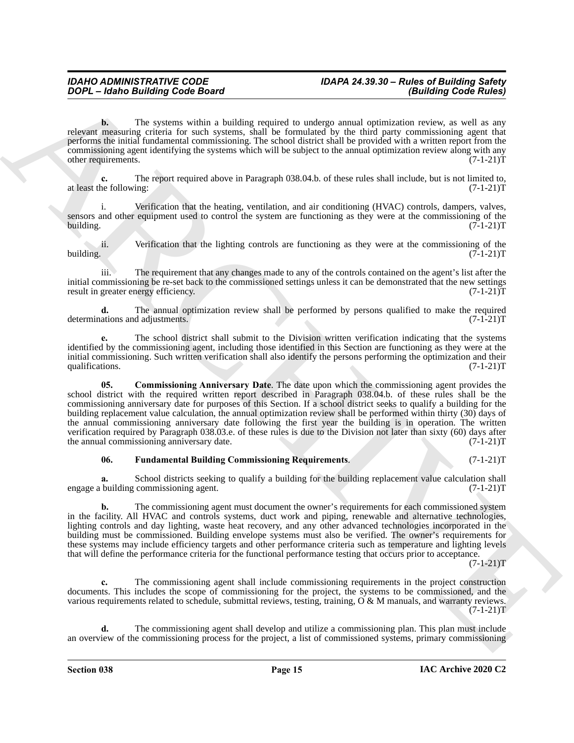**b.** The systems within a building required to undergo annual optimization review, as well as any relevant measuring criteria for such systems, shall be formulated by the third party commissioning agent that performs the initial fundamental commissioning. The school district shall be provided with a written report from the commissioning agent identifying the systems which will be subject to the annual optimization review along with any other requirements. (7-1-21)T

**c.** The report required above in Paragraph 038.04.b. of these rules shall include, but is not limited to, the following: (7-1-21) at least the following:

i. Verification that the heating, ventilation, and air conditioning (HVAC) controls, dampers, valves, sensors and other equipment used to control the system are functioning as they were at the commissioning of the building.  $(7-1-21)$ T building. (7-1-21)T

ii. Verification that the lighting controls are functioning as they were at the commissioning of the building. (7-1-21)T building. (7-1-21)T

iii. The requirement that any changes made to any of the controls contained on the agent's list after the initial commissioning be re-set back to the commissioned settings unless it can be demonstrated that the new settings result in greater energy efficiency. (7-1-21)T

**d.** The annual optimization review shall be performed by persons qualified to make the required ations and adjustments. (7-1-21) determinations and adjustments.

<span id="page-14-0"></span>**e.** The school district shall submit to the Division written verification indicating that the systems identified by the commissioning agent, including those identified in this Section are functioning as they were at the initial commissioning. Such written verification shall also identify the persons performing the optimization and their qualifications. (7-1-21)T qualifications.

**Copyright Control in the system with a building Control in the system of the system of the system of the system of the system of the system of the system of the system of the system of the system of the system of the sys 05. Commissioning Anniversary Date**. The date upon which the commissioning agent provides the school district with the required written report described in Paragraph 038.04.b. of these rules shall be the commissioning anniversary date for purposes of this Section. If a school district seeks to qualify a building for the building replacement value calculation, the annual optimization review shall be performed within thirty (30) days of the annual commissioning anniversary date following the first year the building is in operation. The written verification required by Paragraph 038.03.e. of these rules is due to the Division not later than sixty (60) days after the annual commissioning anniversary date. (7-1-21) the annual commissioning anniversary date.

#### <span id="page-14-1"></span>**06. Fundamental Building Commissioning Requirements**. (7-1-21)T

**a.** School districts seeking to qualify a building for the building replacement value calculation shall building commissioning agent. (7-1-21) engage a building commissioning agent.

**b.** The commissioning agent must document the owner's requirements for each commissioned system in the facility. All HVAC and controls systems, duct work and piping, renewable and alternative technologies, lighting controls and day lighting, waste heat recovery, and any other advanced technologies incorporated in the building must be commissioned. Building envelope systems must also be verified. The owner's requirements for these systems may include efficiency targets and other performance criteria such as temperature and lighting levels that will define the performance criteria for the functional performance testing that occurs prior to acceptance.

 $(7-1-21)T$ 

**c.** The commissioning agent shall include commissioning requirements in the project construction documents. This includes the scope of commissioning for the project, the systems to be commissioned, and the various requirements related to schedule, submittal reviews, testing, training,  $\overrightarrow{O} \& M$  manuals, and warranty reviews.  $(7-1-21)T$ 

The commissioning agent shall develop and utilize a commissioning plan. This plan must include an overview of the commissioning process for the project, a list of commissioned systems, primary commissioning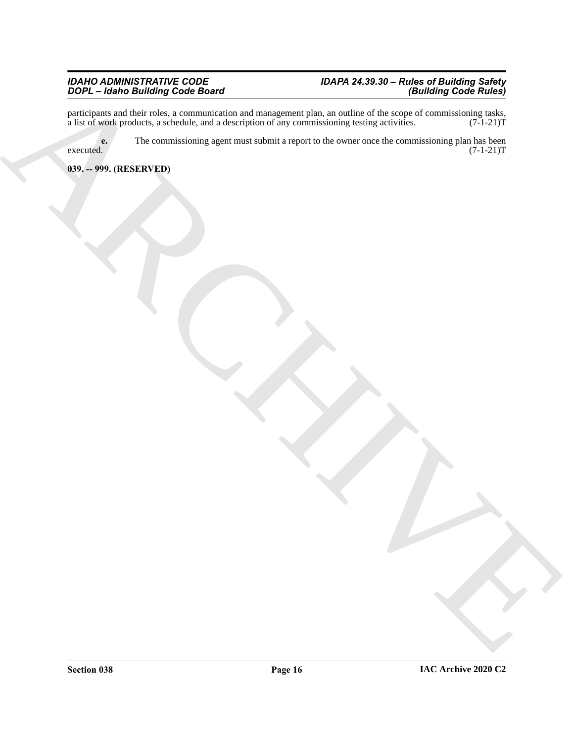#### *IDAHO ADMINISTRATIVE CODE IDAPA 24.39.30 – Rules of Building Safety DOPL – Idaho Building Code Board (Building Code Rules)*

ARCHIVE participants and their roles, a communication and management plan, an outline of the scope of commissioning tasks, a list of work products, a schedule, and a description of any commissioning testing activities. (7-1-21)T

**e.** The commissioning agent must submit a report to the owner once the commissioning plan has been  $e^{\alpha}$  executed.  $(7-1-21)$ T

#### <span id="page-15-0"></span>**039. -- 999. (RESERVED)**